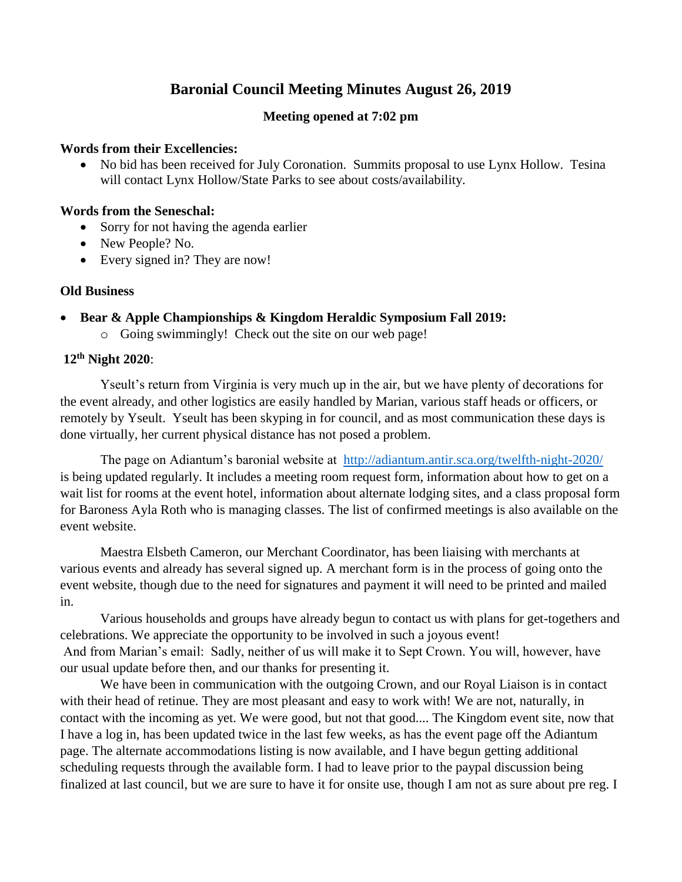# **Baronial Council Meeting Minutes August 26, 2019**

### **Meeting opened at 7:02 pm**

### **Words from their Excellencies:**

 No bid has been received for July Coronation. Summits proposal to use Lynx Hollow. Tesina will contact Lynx Hollow/State Parks to see about costs/availability.

### **Words from the Seneschal:**

- Sorry for not having the agenda earlier
- New People? No.
- Every signed in? They are now!

### **Old Business**

- **Bear & Apple Championships & Kingdom Heraldic Symposium Fall 2019:**
	- o Going swimmingly! Check out the site on our web page!

### **12th Night 2020**:

Yseult's return from Virginia is very much up in the air, but we have plenty of decorations for the event already, and other logistics are easily handled by Marian, various staff heads or officers, or remotely by Yseult. Yseult has been skyping in for council, and as most communication these days is done virtually, her current physical distance has not posed a problem.

The page on Adiantum's baronial website at <http://adiantum.antir.sca.org/twelfth-night-2020/> is being updated regularly. It includes a meeting room request form, information about how to get on a wait list for rooms at the event hotel, information about alternate lodging sites, and a class proposal form for Baroness Ayla Roth who is managing classes. The list of confirmed meetings is also available on the event website.

 Maestra Elsbeth Cameron, our Merchant Coordinator, has been liaising with merchants at various events and already has several signed up. A merchant form is in the process of going onto the event website, though due to the need for signatures and payment it will need to be printed and mailed in.

 Various households and groups have already begun to contact us with plans for get-togethers and celebrations. We appreciate the opportunity to be involved in such a joyous event! And from Marian's email: Sadly, neither of us will make it to Sept Crown. You will, however, have our usual update before then, and our thanks for presenting it.

We have been in communication with the outgoing Crown, and our Royal Liaison is in contact with their head of retinue. They are most pleasant and easy to work with! We are not, naturally, in contact with the incoming as yet. We were good, but not that good.... The Kingdom event site, now that I have a log in, has been updated twice in the last few weeks, as has the event page off the Adiantum page. The alternate accommodations listing is now available, and I have begun getting additional scheduling requests through the available form. I had to leave prior to the paypal discussion being finalized at last council, but we are sure to have it for onsite use, though I am not as sure about pre reg. I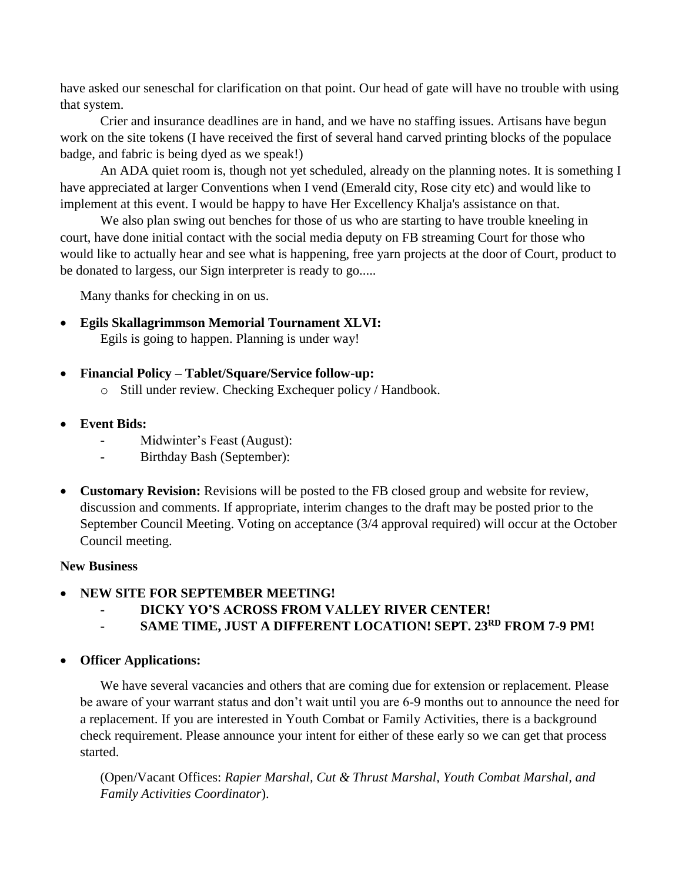have asked our seneschal for clarification on that point. Our head of gate will have no trouble with using that system.

Crier and insurance deadlines are in hand, and we have no staffing issues. Artisans have begun work on the site tokens (I have received the first of several hand carved printing blocks of the populace badge, and fabric is being dyed as we speak!)

An ADA quiet room is, though not yet scheduled, already on the planning notes. It is something I have appreciated at larger Conventions when I vend (Emerald city, Rose city etc) and would like to implement at this event. I would be happy to have Her Excellency Khalja's assistance on that.

We also plan swing out benches for those of us who are starting to have trouble kneeling in court, have done initial contact with the social media deputy on FB streaming Court for those who would like to actually hear and see what is happening, free yarn projects at the door of Court, product to be donated to largess, our Sign interpreter is ready to go.....

Many thanks for checking in on us.

- **Egils Skallagrimmson Memorial Tournament XLVI:** Egils is going to happen. Planning is under way!
- **Financial Policy – Tablet/Square/Service follow-up:**
	- o Still under review. Checking Exchequer policy / Handbook.
- **Event Bids:**
	- **-** Midwinter's Feast (August):
	- **-** Birthday Bash (September):
- **Customary Revision:** Revisions will be posted to the FB closed group and website for review, discussion and comments. If appropriate, interim changes to the draft may be posted prior to the September Council Meeting. Voting on acceptance (3/4 approval required) will occur at the October Council meeting.

## **New Business**

- **NEW SITE FOR SEPTEMBER MEETING!**
	- **- DICKY YO'S ACROSS FROM VALLEY RIVER CENTER!**
	- **- SAME TIME, JUST A DIFFERENT LOCATION! SEPT. 23RD FROM 7-9 PM!**
- **Officer Applications:**

We have several vacancies and others that are coming due for extension or replacement. Please be aware of your warrant status and don't wait until you are 6-9 months out to announce the need for a replacement. If you are interested in Youth Combat or Family Activities, there is a background check requirement. Please announce your intent for either of these early so we can get that process started.

(Open/Vacant Offices: *Rapier Marshal, Cut & Thrust Marshal, Youth Combat Marshal, and Family Activities Coordinator*).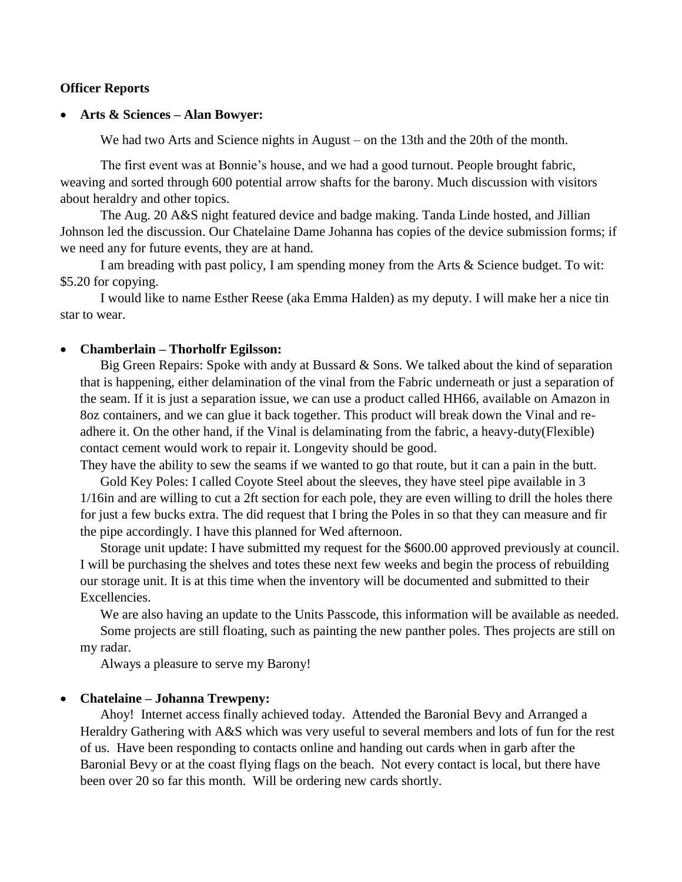### **Officer Reports**

#### **Arts & Sciences – Alan Bowyer:**

We had two Arts and Science nights in August – on the 13th and the 20th of the month.

The first event was at Bonnie's house, and we had a good turnout. People brought fabric, weaving and sorted through 600 potential arrow shafts for the barony. Much discussion with visitors about heraldry and other topics.

The Aug. 20 A&S night featured device and badge making. Tanda Linde hosted, and Jillian Johnson led the discussion. Our Chatelaine Dame Johanna has copies of the device submission forms; if we need any for future events, they are at hand.

I am breading with past policy, I am spending money from the Arts & Science budget. To wit: \$5.20 for copying.

I would like to name Esther Reese (aka Emma Halden) as my deputy. I will make her a nice tin star to wear.

#### **Chamberlain – Thorholfr Egilsson:**

Big Green Repairs: Spoke with andy at Bussard & Sons. We talked about the kind of separation that is happening, either delamination of the vinal from the Fabric underneath or just a separation of the seam. If it is just a separation issue, we can use a product called HH66, available on Amazon in 8oz containers, and we can glue it back together. This product will break down the Vinal and readhere it. On the other hand, if the Vinal is delaminating from the fabric, a heavy-duty(Flexible) contact cement would work to repair it. Longevity should be good.

They have the ability to sew the seams if we wanted to go that route, but it can a pain in the butt.

Gold Key Poles: I called Coyote Steel about the sleeves, they have steel pipe available in 3 1/16in and are willing to cut a 2ft section for each pole, they are even willing to drill the holes there for just a few bucks extra. The did request that I bring the Poles in so that they can measure and fir the pipe accordingly. I have this planned for Wed afternoon.

Storage unit update: I have submitted my request for the \$600.00 approved previously at council. I will be purchasing the shelves and totes these next few weeks and begin the process of rebuilding our storage unit. It is at this time when the inventory will be documented and submitted to their Excellencies.

We are also having an update to the Units Passcode, this information will be available as needed. Some projects are still floating, such as painting the new panther poles. Thes projects are still on my radar.

Always a pleasure to serve my Barony!

#### **Chatelaine – Johanna Trewpeny:**

Ahoy! Internet access finally achieved today. Attended the Baronial Bevy and Arranged a Heraldry Gathering with A&S which was very useful to several members and lots of fun for the rest of us. Have been responding to contacts online and handing out cards when in garb after the Baronial Bevy or at the coast flying flags on the beach. Not every contact is local, but there have been over 20 so far this month. Will be ordering new cards shortly.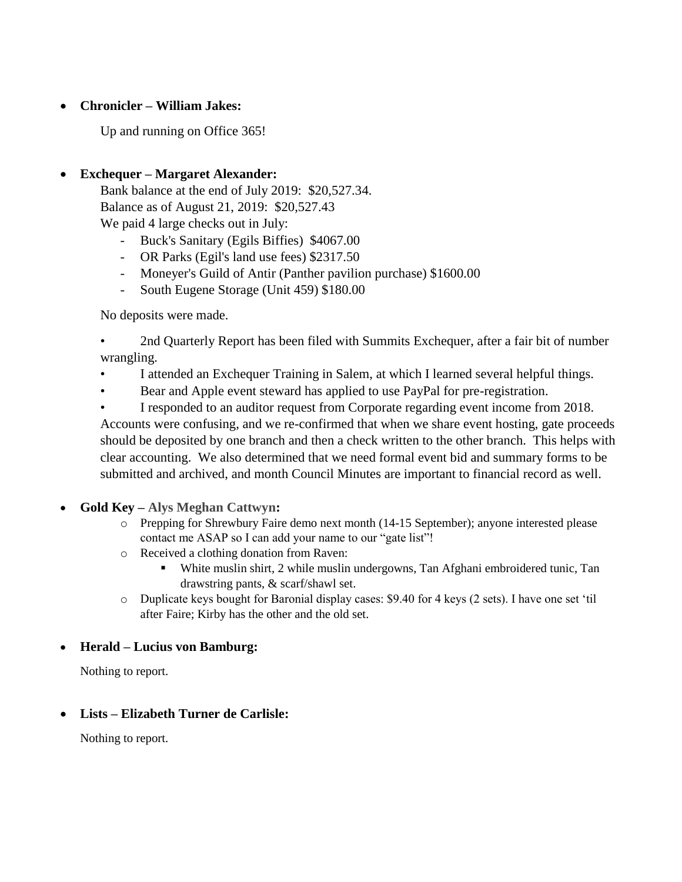### **Chronicler – William Jakes:**

Up and running on Office 365!

## **Exchequer – Margaret Alexander:**

Bank balance at the end of July 2019: \$20,527.34. Balance as of August 21, 2019: \$20,527.43 We paid 4 large checks out in July:

- Buck's Sanitary (Egils Biffies) \$4067.00
- OR Parks (Egil's land use fees) \$2317.50
- Moneyer's Guild of Antir (Panther pavilion purchase) \$1600.00
- South Eugene Storage (Unit 459) \$180.00

No deposits were made.

• 2nd Quarterly Report has been filed with Summits Exchequer, after a fair bit of number wrangling.

- I attended an Exchequer Training in Salem, at which I learned several helpful things.
- Bear and Apple event steward has applied to use PayPal for pre-registration.

• I responded to an auditor request from Corporate regarding event income from 2018. Accounts were confusing, and we re-confirmed that when we share event hosting, gate proceeds should be deposited by one branch and then a check written to the other branch. This helps with clear accounting. We also determined that we need formal event bid and summary forms to be submitted and archived, and month Council Minutes are important to financial record as well.

- **Gold Key – Alys Meghan Cattwyn:** 
	- o Prepping for Shrewbury Faire demo next month (14-15 September); anyone interested please contact me ASAP so I can add your name to our "gate list"!
	- o Received a clothing donation from Raven:
		- White muslin shirt, 2 while muslin undergowns, Tan Afghani embroidered tunic, Tan drawstring pants, & scarf/shawl set.
	- o Duplicate keys bought for Baronial display cases: \$9.40 for 4 keys (2 sets). I have one set 'til after Faire; Kirby has the other and the old set.

### **Herald – Lucius von Bamburg:**

Nothing to report.

### **Lists – Elizabeth Turner de Carlisle:**

Nothing to report.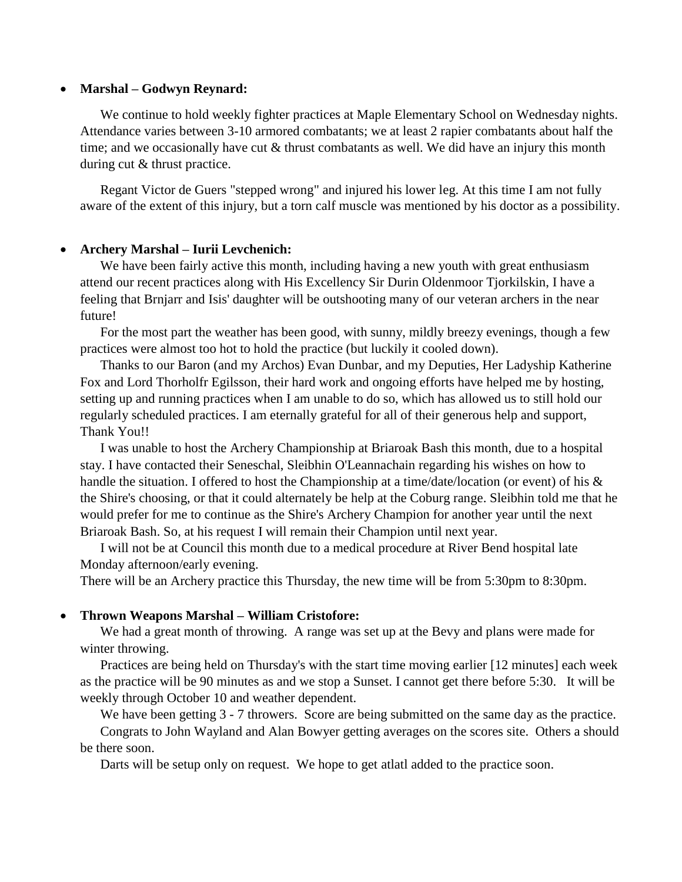#### **Marshal – Godwyn Reynard:**

We continue to hold weekly fighter practices at Maple Elementary School on Wednesday nights. Attendance varies between 3-10 armored combatants; we at least 2 rapier combatants about half the time; and we occasionally have cut & thrust combatants as well. We did have an injury this month during cut & thrust practice.

Regant Victor de Guers "stepped wrong" and injured his lower leg. At this time I am not fully aware of the extent of this injury, but a torn calf muscle was mentioned by his doctor as a possibility.

#### **Archery Marshal – Iurii Levchenich:**

We have been fairly active this month, including having a new youth with great enthusiasm attend our recent practices along with His Excellency Sir Durin Oldenmoor Tjorkilskin, I have a feeling that Brnjarr and Isis' daughter will be outshooting many of our veteran archers in the near future!

For the most part the weather has been good, with sunny, mildly breezy evenings, though a few practices were almost too hot to hold the practice (but luckily it cooled down).

Thanks to our Baron (and my Archos) Evan Dunbar, and my Deputies, Her Ladyship Katherine Fox and Lord Thorholfr Egilsson, their hard work and ongoing efforts have helped me by hosting, setting up and running practices when I am unable to do so, which has allowed us to still hold our regularly scheduled practices. I am eternally grateful for all of their generous help and support, Thank You!!

I was unable to host the Archery Championship at Briaroak Bash this month, due to a hospital stay. I have contacted their Seneschal, Sleibhin O'Leannachain regarding his wishes on how to handle the situation. I offered to host the Championship at a time/date/location (or event) of his & the Shire's choosing, or that it could alternately be help at the Coburg range. Sleibhin told me that he would prefer for me to continue as the Shire's Archery Champion for another year until the next Briaroak Bash. So, at his request I will remain their Champion until next year.

I will not be at Council this month due to a medical procedure at River Bend hospital late Monday afternoon/early evening.

There will be an Archery practice this Thursday, the new time will be from 5:30pm to 8:30pm.

#### **Thrown Weapons Marshal – William Cristofore:**

We had a great month of throwing. A range was set up at the Bevy and plans were made for winter throwing.

Practices are being held on Thursday's with the start time moving earlier [12 minutes] each week as the practice will be 90 minutes as and we stop a Sunset. I cannot get there before 5:30. It will be weekly through October 10 and weather dependent.

We have been getting 3 - 7 throwers. Score are being submitted on the same day as the practice. Congrats to John Wayland and Alan Bowyer getting averages on the scores site. Others a should be there soon.

Darts will be setup only on request. We hope to get atlatl added to the practice soon.